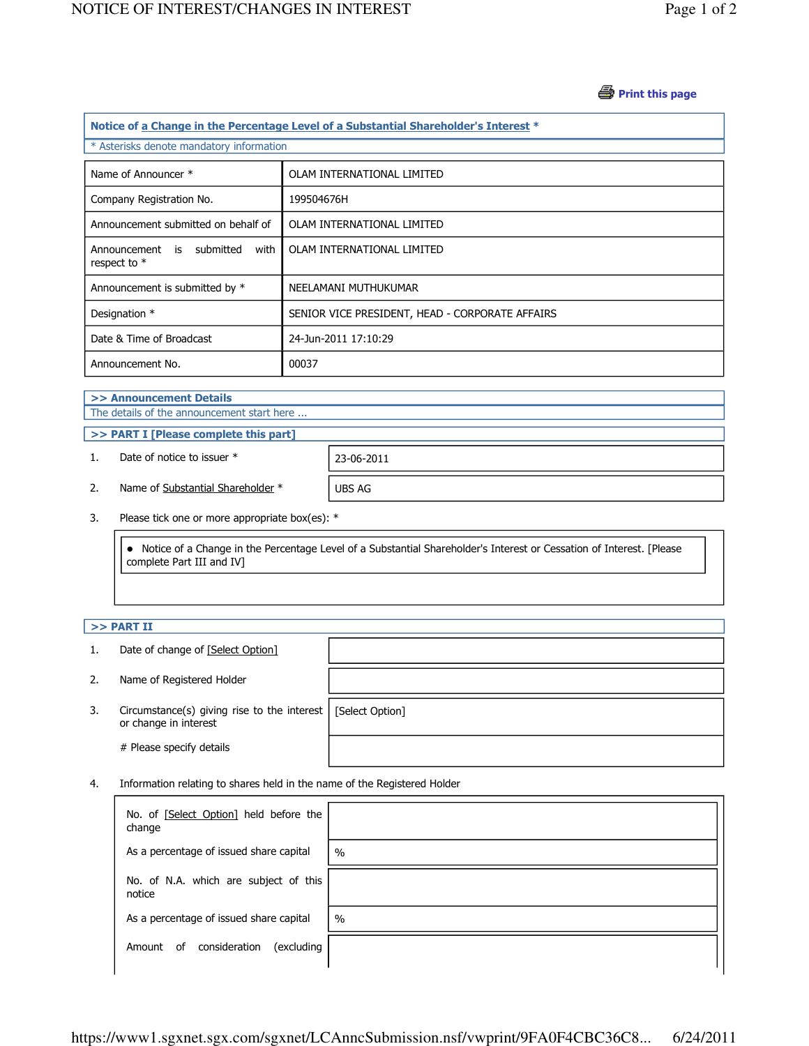## *S* Print this page

| Notice of a Change in the Percentage Level of a Substantial Shareholder's Interest * |                                                 |  |  |  |
|--------------------------------------------------------------------------------------|-------------------------------------------------|--|--|--|
| * Asterisks denote mandatory information                                             |                                                 |  |  |  |
| Name of Announcer *                                                                  | OLAM INTERNATIONAL LIMITED                      |  |  |  |
| Company Registration No.                                                             | 199504676H                                      |  |  |  |
| Announcement submitted on behalf of                                                  | OLAM INTERNATIONAL LIMITED                      |  |  |  |
| Announcement is submitted<br>with<br>respect to $*$                                  | OLAM INTERNATIONAL LIMITED                      |  |  |  |
| Announcement is submitted by *                                                       | NEELAMANI MUTHUKUMAR                            |  |  |  |
| Designation *                                                                        | SENIOR VICE PRESIDENT, HEAD - CORPORATE AFFAIRS |  |  |  |
| Date & Time of Broadcast                                                             | 24-Jun-2011 17:10:29                            |  |  |  |
| Announcement No.                                                                     | 00037                                           |  |  |  |
| <b><i><u>ALCOHOL: 1999</u></i></b>                                                   |                                                 |  |  |  |

## >> Announcement Details The details of the announcement start here ...

>> PART I [Please complete this part]

1. Date of notice to issuer \* 23-06-2011

2. Name of Substantial Shareholder \* UBS AG

3. Please tick one or more appropriate box(es): \*

 Notice of a Change in the Percentage Level of a Substantial Shareholder's Interest or Cessation of Interest. [Please complete Part III and IV]

## $>>$  PART II

- 1. Date of change of [Select Option]
- 2. Name of Registered Holder
- 3. Circumstance(s) giving rise to the interest [Select Option] or change in interest

# Please specify details

4. Information relating to shares held in the name of the Registered Holder

| No. of [Select Option] held before the<br>change |               |
|--------------------------------------------------|---------------|
| As a percentage of issued share capital          | $\frac{0}{0}$ |
| No. of N.A. which are subject of this<br>notice  |               |
| As a percentage of issued share capital          | $\%$          |
| consideration<br>(excluding<br>0f<br>Amount      |               |